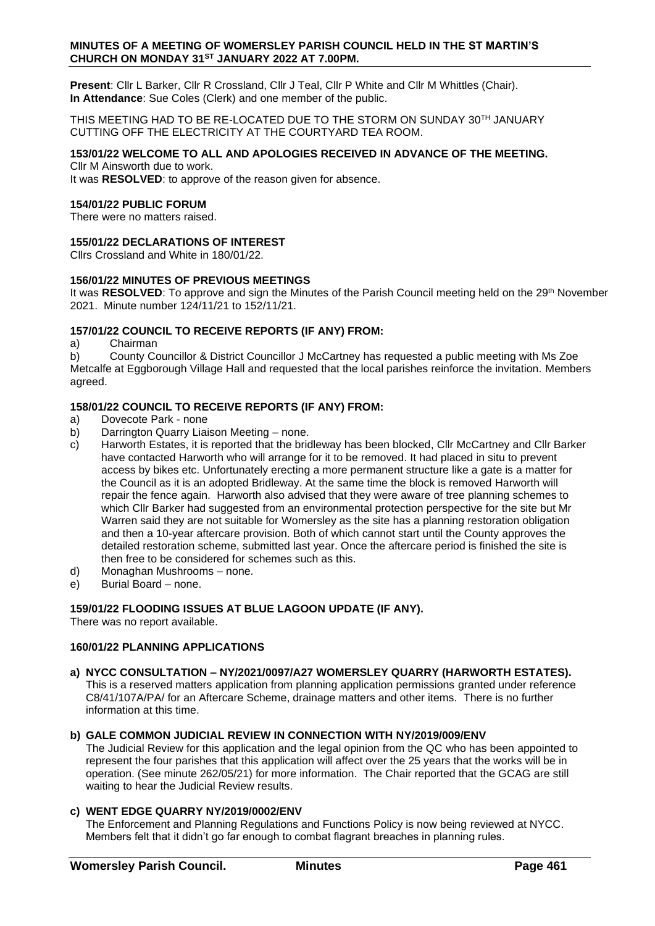#### **MINUTES OF A MEETING OF WOMERSLEY PARISH COUNCIL HELD IN THE ST MARTIN'S CHURCH ON MONDAY 31ST JANUARY 2022 AT 7.00PM.**

**Present**: Cllr L Barker, Cllr R Crossland, Cllr J Teal, Cllr P White and Cllr M Whittles (Chair). **In Attendance**: Sue Coles (Clerk) and one member of the public.

THIS MEETING HAD TO BE RE-LOCATED DUE TO THE STORM ON SUNDAY 30TH JANUARY CUTTING OFF THE ELECTRICITY AT THE COURTYARD TEA ROOM.

# **153/01/22 WELCOME TO ALL AND APOLOGIES RECEIVED IN ADVANCE OF THE MEETING.**

Cllr M Ainsworth due to work.

It was **RESOLVED**: to approve of the reason given for absence.

### **154/01/22 PUBLIC FORUM**

There were no matters raised.

## **155/01/22 DECLARATIONS OF INTEREST**

Cllrs Crossland and White in 180/01/22.

## **156/01/22 MINUTES OF PREVIOUS MEETINGS**

It was **RESOLVED**: To approve and sign the Minutes of the Parish Council meeting held on the 29<sup>th</sup> November 2021. Minute number 124/11/21 to 152/11/21.

## **157/01/22 COUNCIL TO RECEIVE REPORTS (IF ANY) FROM:**

#### a) Chairman

b) County Councillor & District Councillor J McCartney has requested a public meeting with Ms Zoe Metcalfe at Eggborough Village Hall and requested that the local parishes reinforce the invitation. Members agreed.

## **158/01/22 COUNCIL TO RECEIVE REPORTS (IF ANY) FROM:**

- a) Dovecote Park none
- b) Darrington Quarry Liaison Meeting none.
- c) Harworth Estates, it is reported that the bridleway has been blocked, Cllr McCartney and Cllr Barker have contacted Harworth who will arrange for it to be removed. It had placed in situ to prevent access by bikes etc. Unfortunately erecting a more permanent structure like a gate is a matter for the Council as it is an adopted Bridleway. At the same time the block is removed Harworth will repair the fence again. Harworth also advised that they were aware of tree planning schemes to which Cllr Barker had suggested from an environmental protection perspective for the site but Mr Warren said they are not suitable for Womersley as the site has a planning restoration obligation and then a 10-year aftercare provision. Both of which cannot start until the County approves the detailed restoration scheme, submitted last year. Once the aftercare period is finished the site is then free to be considered for schemes such as this.
- d) Monaghan Mushrooms none.
- e) Burial Board none.

## **159/01/22 FLOODING ISSUES AT BLUE LAGOON UPDATE (IF ANY).**

There was no report available.

# **160/01/22 PLANNING APPLICATIONS**

**a) NYCC CONSULTATION – NY/2021/0097/A27 WOMERSLEY QUARRY (HARWORTH ESTATES).** This is a reserved matters application from planning application permissions granted under reference C8/41/107A/PA/ for an Aftercare Scheme, drainage matters and other items. There is no further information at this time.

## **b) GALE COMMON JUDICIAL REVIEW IN CONNECTION WITH NY/2019/009/ENV**

The Judicial Review for this application and the legal opinion from the QC who has been appointed to represent the four parishes that this application will affect over the 25 years that the works will be in operation. (See minute 262/05/21) for more information. The Chair reported that the GCAG are still waiting to hear the Judicial Review results.

## **c) WENT EDGE QUARRY NY/2019/0002/ENV**

The Enforcement and Planning Regulations and Functions Policy is now being reviewed at NYCC. Members felt that it didn't go far enough to combat flagrant breaches in planning rules.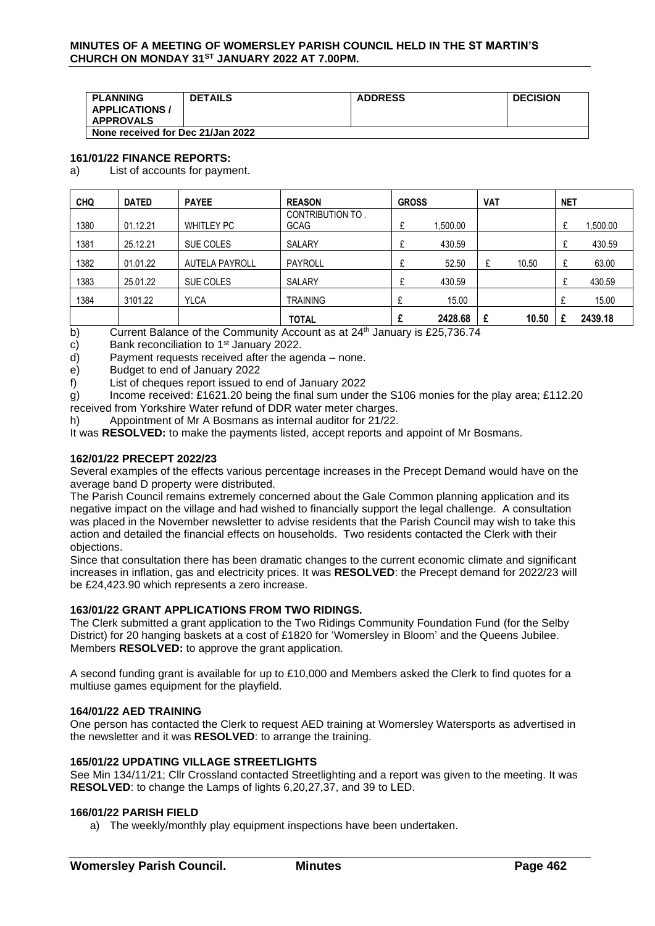#### **MINUTES OF A MEETING OF WOMERSLEY PARISH COUNCIL HELD IN THE ST MARTIN'S CHURCH ON MONDAY 31ST JANUARY 2022 AT 7.00PM.**

| <b>PLANNING</b>                           | <b>DETAILS</b> | <b>ADDRESS</b> | <b>DECISION</b> |  |  |
|-------------------------------------------|----------------|----------------|-----------------|--|--|
| <b>APPLICATIONS /</b><br><b>APPROVALS</b> |                |                |                 |  |  |
| None received for Dec 21/Jan 2022         |                |                |                 |  |  |

### **161/01/22 FINANCE REPORTS:**

a) List of accounts for payment.

| <b>CHQ</b> | <b>DATED</b> | <b>PAYEE</b>          | <b>REASON</b>                   | <b>GROSS</b> |          | <b>VAT</b> |       | <b>NET</b> |          |
|------------|--------------|-----------------------|---------------------------------|--------------|----------|------------|-------|------------|----------|
| 1380       | 01.12.21     | <b>WHITLEY PC</b>     | CONTRIBUTION TO.<br><b>GCAG</b> | £            | 1,500.00 |            |       | £          | 1,500.00 |
| 1381       | 25.12.21     | SUE COLES             | SALARY                          | £            | 430.59   |            |       | £          | 430.59   |
| 1382       | 01.01.22     | <b>AUTELA PAYROLL</b> | PAYROLL                         | £            | 52.50    | £          | 10.50 | £          | 63.00    |
| 1383       | 25.01.22     | SUE COLES             | SALARY                          | £            | 430.59   |            |       | £          | 430.59   |
| 1384       | 3101.22      | <b>YLCA</b>           | <b>TRAINING</b>                 | £            | 15.00    |            |       |            | 15.00    |
|            |              |                       | <b>TOTAL</b>                    | £            | 2428.68  | £          | 10.50 |            | 2439.18  |

b) Current Balance of the Community Account as at  $24<sup>th</sup>$  January is £25,736.74

c) Bank reconciliation to  $1<sup>st</sup>$  January 2022.

d) Payment requests received after the agenda – none.

e) Budget to end of January 2022

f) List of cheques report issued to end of January 2022

g) Income received: £1621.20 being the final sum under the S106 monies for the play area; £112.20 received from Yorkshire Water refund of DDR water meter charges.

h) Appointment of Mr A Bosmans as internal auditor for 21/22.

It was **RESOLVED:** to make the payments listed, accept reports and appoint of Mr Bosmans.

### **162/01/22 PRECEPT 2022/23**

Several examples of the effects various percentage increases in the Precept Demand would have on the average band D property were distributed.

The Parish Council remains extremely concerned about the Gale Common planning application and its negative impact on the village and had wished to financially support the legal challenge. A consultation was placed in the November newsletter to advise residents that the Parish Council may wish to take this action and detailed the financial effects on households. Two residents contacted the Clerk with their objections.

Since that consultation there has been dramatic changes to the current economic climate and significant increases in inflation, gas and electricity prices. It was **RESOLVED**: the Precept demand for 2022/23 will be £24,423.90 which represents a zero increase.

## **163/01/22 GRANT APPLICATIONS FROM TWO RIDINGS.**

The Clerk submitted a grant application to the Two Ridings Community Foundation Fund (for the Selby District) for 20 hanging baskets at a cost of £1820 for 'Womersley in Bloom' and the Queens Jubilee. Members **RESOLVED:** to approve the grant application.

A second funding grant is available for up to £10,000 and Members asked the Clerk to find quotes for a multiuse games equipment for the playfield.

#### **164/01/22 AED TRAINING**

One person has contacted the Clerk to request AED training at Womersley Watersports as advertised in the newsletter and it was **RESOLVED**: to arrange the training.

#### **165/01/22 UPDATING VILLAGE STREETLIGHTS**

See Min 134/11/21; Cllr Crossland contacted Streetlighting and a report was given to the meeting. It was **RESOLVED**: to change the Lamps of lights 6,20,27,37, and 39 to LED.

## **166/01/22 PARISH FIELD**

a) The weekly/monthly play equipment inspections have been undertaken.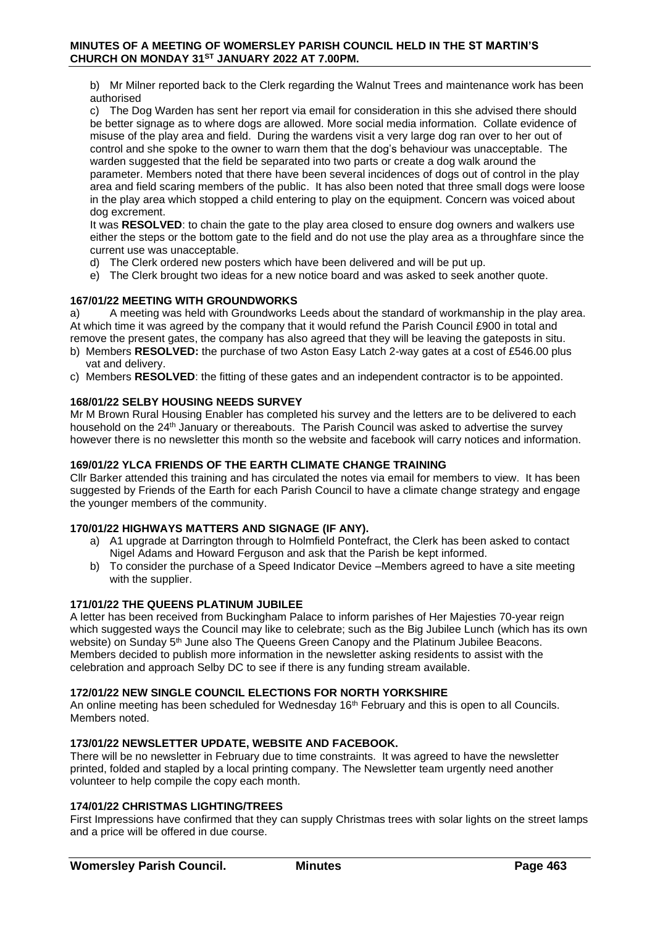b) Mr Milner reported back to the Clerk regarding the Walnut Trees and maintenance work has been authorised

c) The Dog Warden has sent her report via email for consideration in this she advised there should be better signage as to where dogs are allowed. More social media information. Collate evidence of misuse of the play area and field. During the wardens visit a very large dog ran over to her out of control and she spoke to the owner to warn them that the dog's behaviour was unacceptable. The warden suggested that the field be separated into two parts or create a dog walk around the parameter. Members noted that there have been several incidences of dogs out of control in the play area and field scaring members of the public. It has also been noted that three small dogs were loose in the play area which stopped a child entering to play on the equipment. Concern was voiced about dog excrement.

It was **RESOLVED**: to chain the gate to the play area closed to ensure dog owners and walkers use either the steps or the bottom gate to the field and do not use the play area as a throughfare since the current use was unacceptable.

- d) The Clerk ordered new posters which have been delivered and will be put up.
- e) The Clerk brought two ideas for a new notice board and was asked to seek another quote.

### **167/01/22 MEETING WITH GROUNDWORKS**

a) A meeting was held with Groundworks Leeds about the standard of workmanship in the play area. At which time it was agreed by the company that it would refund the Parish Council £900 in total and remove the present gates, the company has also agreed that they will be leaving the gateposts in situ.

- b) Members **RESOLVED:** the purchase of two Aston Easy Latch 2-way gates at a cost of £546.00 plus vat and delivery.
- c) Members **RESOLVED**: the fitting of these gates and an independent contractor is to be appointed.

### **168/01/22 SELBY HOUSING NEEDS SURVEY**

Mr M Brown Rural Housing Enabler has completed his survey and the letters are to be delivered to each household on the 24<sup>th</sup> January or thereabouts. The Parish Council was asked to advertise the survey however there is no newsletter this month so the website and facebook will carry notices and information.

### **169/01/22 YLCA FRIENDS OF THE EARTH CLIMATE CHANGE TRAINING**

Cllr Barker attended this training and has circulated the notes via email for members to view. It has been suggested by Friends of the Earth for each Parish Council to have a climate change strategy and engage the younger members of the community.

#### **170/01/22 HIGHWAYS MATTERS AND SIGNAGE (IF ANY).**

- a) A1 upgrade at Darrington through to Holmfield Pontefract, the Clerk has been asked to contact Nigel Adams and Howard Ferguson and ask that the Parish be kept informed.
- b) To consider the purchase of a Speed Indicator Device –Members agreed to have a site meeting with the supplier.

#### **171/01/22 THE QUEENS PLATINUM JUBILEE**

A letter has been received from Buckingham Palace to inform parishes of Her Majesties 70-year reign which suggested ways the Council may like to celebrate; such as the Big Jubilee Lunch (which has its own website) on Sunday 5<sup>th</sup> June also The Queens Green Canopy and the Platinum Jubilee Beacons. Members decided to publish more information in the newsletter asking residents to assist with the celebration and approach Selby DC to see if there is any funding stream available.

#### **172/01/22 NEW SINGLE COUNCIL ELECTIONS FOR NORTH YORKSHIRE**

An online meeting has been scheduled for Wednesday  $16<sup>th</sup>$  February and this is open to all Councils. Members noted.

### **173/01/22 NEWSLETTER UPDATE, WEBSITE AND FACEBOOK.**

There will be no newsletter in February due to time constraints. It was agreed to have the newsletter printed, folded and stapled by a local printing company. The Newsletter team urgently need another volunteer to help compile the copy each month.

## **174/01/22 CHRISTMAS LIGHTING/TREES**

First Impressions have confirmed that they can supply Christmas trees with solar lights on the street lamps and a price will be offered in due course.